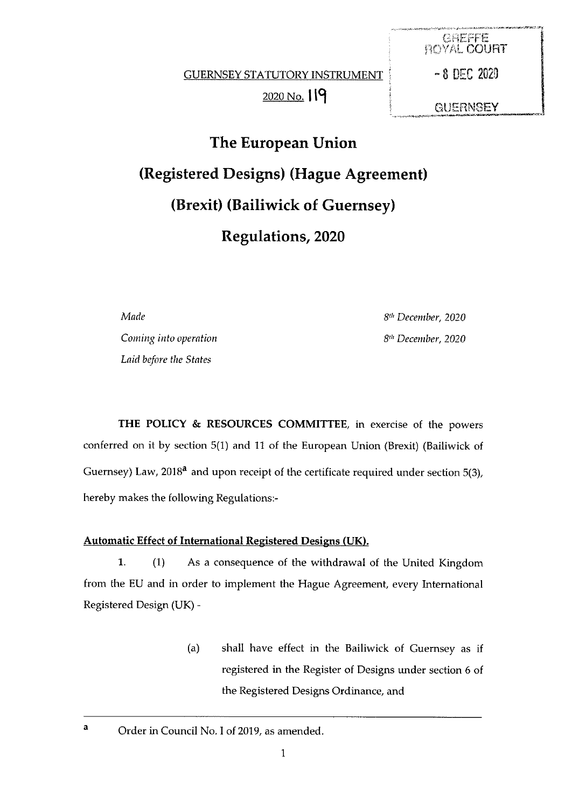GUERNSEY STATUTORY INSTRUMENT | - 8 DEC 2020 2020 No. 19

GREFFE<br>ROYAL COURT **GUERNSEY** 

The European Union (Registered Designs) (Hague Agreement) (Brexit) (Bailiwick of Guernsey) Regulations, 2020

**Made**  $8<sup>th</sup> December, 2020$ 

Coming into operation and the set of the Sun of the Sun of the Sun of the Sun of the Sun of the Sun of the Sun of the Sun of the Sun of the Sun of the Sun of the Sun of the Sun of the Sun of the Sun of the Sun of the Sun o Laid before the States

THE POLICY & RESOURCES COMMITTEE, in exercise of the powers conferred on it by section 5(1) and 11 of the European Union (Brexit) (Bailiwick of Guernsey) Law, 2018<sup>a</sup> and upon receipt of the certificate required under section 5(3), hereby makes the following Regulations:

## Automatic Effect of International Registered Designs (UK).

1. (1) As a consequence of the withdrawal of the United Kingdom from the EU and in order to implement the Hague Agreement, every International Registered Design (UK) -

> (a) shall have effect in the Bailiwick of Guernsey as if registered in the Register of Designs under section 6 of the Registered Designs Ordinance, and

a Order in Council No. I of 2019, as amended.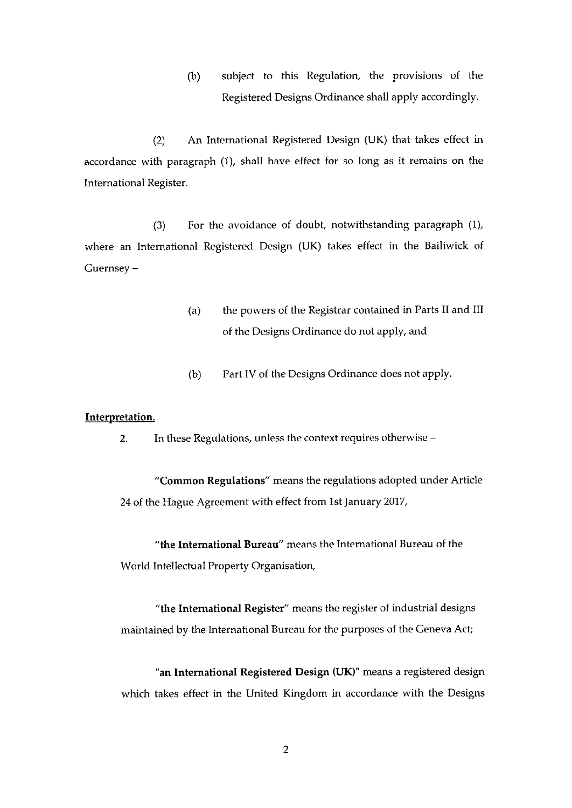(b) subject to this Regulation, the provisions of the Registered Designs Ordinance shall apply accordingly.

(2) An International Registered Design (UK) that takes effect in accordance with paragraph (1), shall have effect for so long as it remains on the International Register.

(3) For the avoidance of doubt, notwithstanding paragraph (1), where an International Registered Design (UK) takes effect in the Bailiwick of Guernsey —

- (a) the powers of the Registrar contained in Parts II and III of the Designs Ordinance do not apply, and
- (b) Part IV of the Designs Ordinance does not apply.

## Interpretation.

2. In these Regulations, unless the context requires otherwise —

"Common Regulations" means the regulations adopted under Article 24 of the Hague Agreement with effect from 1st January 2017,

"the International Bureau" means the International Bureau of the World Intellectual Property Organisation,

"the International Register" means the register of industrial designs maintained by the International Bureau for the purposes of the Geneva Act;

"an International Registered Design (UK)" means <sup>a</sup> registered design which takes effect in the United Kingdom in accordance with the Designs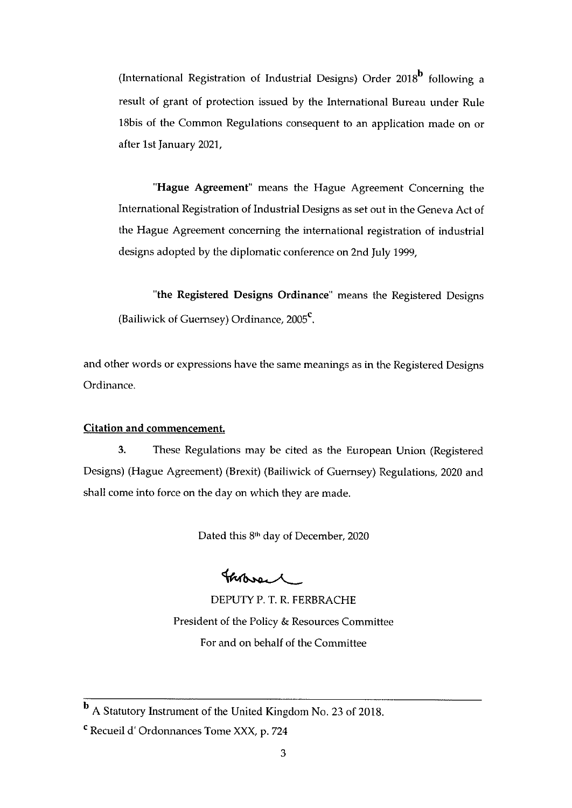(International Registration of Industrial Designs) Order  $2018<sup>b</sup>$  following a result of grant of protection issued by the International Bureau under Rule l8bis of the Common Regulations consequent to an application made on or after 1st January 2021,

'Hague Agreement' means the Hague Agreement Concerning the International Registration of Industrial Designs as set out in the Geneva Act of the Hague Agreement concerning the international registration of industrial designs adopted by the diplomatic conference on 2nd July 1999,

"the Registered Designs Ordinance' means the Registered Designs (Bailiwick of Guernsey) Ordinance, 2005<sup>c</sup>.

and other words or expressions have the same meanings as in the Registered Designs Ordinance.

## Citation and commencement.

3. These Regulations may be cited as the European Union (Registered Designs) (Hague Agreement) (Brexit) (Bailiwick of Guernsey) Regulations, 2020 and shall come into force on the day on which they are made.

Dated this 8<sup>th</sup> day of December, 2020

horen

DEPUTY P. T. R. FERBRACHE President of the Policy & Resources Committee For and on behalf of the Committee

A Statutory Instrument of the United Kingdom No. 23 of 2018.

<sup>C</sup> Recueil d' Ordonnances Tome XXX, p. <sup>724</sup>